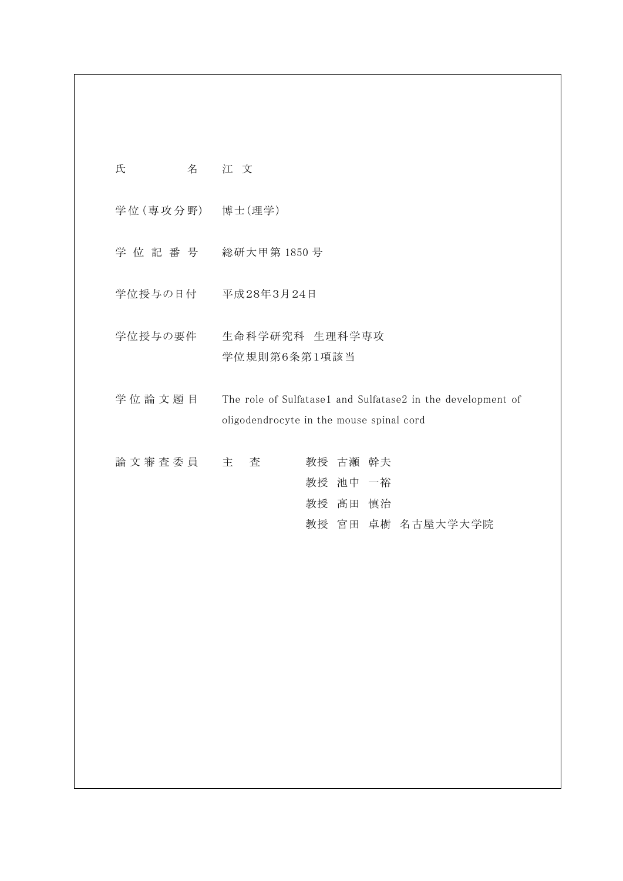| 氏 | 名 | 江文 |
|---|---|----|
|   |   |    |

学位 (専攻分野) 博士 (理学)

- 学 位 記 番 号 総研大甲第 1850 号
- 学位授与の日付 平成28年3月24日
- 学位授与の要件 生命科学研究科 生理科学専攻 学位規則第6条第1項該当
- 学位論文題目 The role of Sulfatase1 and Sulfatase2 in the development of oligodendrocyte in the mouse spinal cord
- 論 文 審 査 委 員 主 查 音 数授 古瀬 幹夫 教授 池中 一裕 教授 髙田 慎治 教授 宮田 卓樹 名古屋大学大学院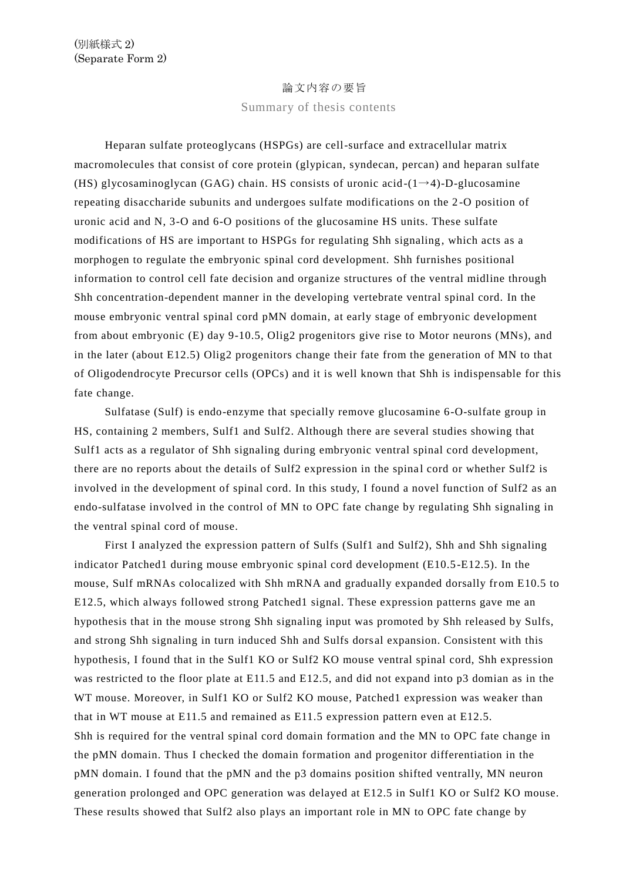## 論文内容の要旨

Summary of thesis contents

Heparan sulfate proteoglycans (HSPGs) are cell-surface and extracellular matrix macromolecules that consist of core protein (glypican, syndecan, percan) and heparan sulfate (HS) glycosaminoglycan (GAG) chain. HS consists of uronic acid  $-(1\rightarrow 4)$ -D-glucosamine repeating disaccharide subunits and undergoes sulfate modifications on the 2 -O position of uronic acid and N, 3-O and 6-O positions of the glucosamine HS units. These sulfate modifications of HS are important to HSPGs for regulating Shh signaling, which acts as a morphogen to regulate the embryonic spinal cord development. Shh furnishes positional information to control cell fate decision and organize structures of the ventral midline through Shh concentration-dependent manner in the developing vertebrate ventral spinal cord. In the mouse embryonic ventral spinal cord pMN domain, at early stage of embryonic development from about embryonic (E) day 9-10.5, Olig2 progenitors give rise to Motor neurons (MNs), and in the later (about E12.5) Olig2 progenitors change their fate from the generation of MN to that of Oligodendrocyte Precursor cells (OPCs) and it is well known that Shh is indispensable for this fate change.

Sulfatase (Sulf) is endo-enzyme that specially remove glucosamine 6-O-sulfate group in HS, containing 2 members, Sulf1 and Sulf2. Although there are several studies showing that Sulf1 acts as a regulator of Shh signaling during embryonic ventral spinal cord development, there are no reports about the details of Sulf2 expression in the spina l cord or whether Sulf2 is involved in the development of spinal cord. In this study, I found a novel function of Sulf2 as an endo-sulfatase involved in the control of MN to OPC fate change by regulating Shh signaling in the ventral spinal cord of mouse.

First I analyzed the expression pattern of Sulfs (Sulf1 and Sulf2), Shh and Shh signaling indicator Patched1 during mouse embryonic spinal cord development (E10.5 -E12.5). In the mouse, Sulf mRNAs colocalized with Shh mRNA and gradually expanded dorsally from E10.5 to E12.5, which always followed strong Patched1 signal. These expression patterns gave me an hypothesis that in the mouse strong Shh signaling input was promoted by Shh released by Sulfs, and strong Shh signaling in turn induced Shh and Sulfs dors al expansion. Consistent with this hypothesis, I found that in the Sulf1 KO or Sulf2 KO mouse ventral spinal cord, Shh expression was restricted to the floor plate at E11.5 and E12.5, and did not expand into p3 domian as in the WT mouse. Moreover, in Sulf1 KO or Sulf2 KO mouse, Patched1 expression was weaker than that in WT mouse at E11.5 and remained as E11.5 expression pattern even at E12.5. Shh is required for the ventral spinal cord domain formation and the MN to OPC fate change in the pMN domain. Thus I checked the domain formation and progenitor differentiation in the pMN domain. I found that the pMN and the p3 domains position shifted ventrally, MN neuron generation prolonged and OPC generation was delayed at E12.5 in Sulf1 KO or Sulf2 KO mouse. These results showed that Sulf2 also plays an important role in MN to OPC fate change by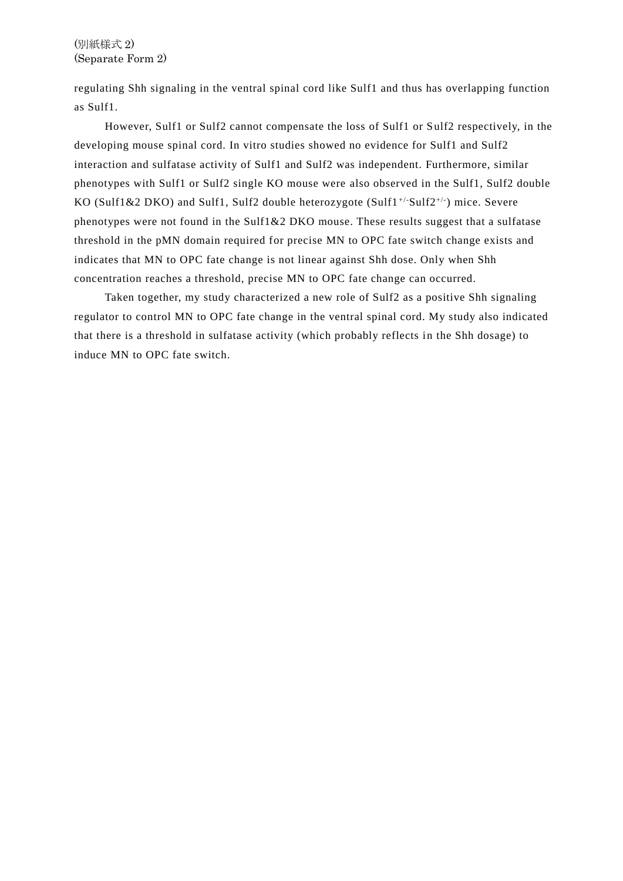regulating Shh signaling in the ventral spinal cord like Sulf1 and thus has overlapping function as Sulf1.

However, Sulf1 or Sulf2 cannot compensate the loss of Sulf1 or Sulf2 respectively, in the developing mouse spinal cord. In vitro studies showed no evidence for Sulf1 and Sulf2 interaction and sulfatase activity of Sulf1 and Sulf2 was independent. Furthermore, similar phenotypes with Sulf1 or Sulf2 single KO mouse were also observed in the Sulf1, Sulf2 double KO (Sulf1&2 DKO) and Sulf1, Sulf2 double heterozygote (Sulf1 +/-Sulf2+/- ) mice. Severe phenotypes were not found in the Sulf1&2 DKO mouse. These results suggest that a sulfatase threshold in the pMN domain required for precise MN to OPC fate switch change exists and indicates that MN to OPC fate change is not linear against Shh dose. Only when Shh concentration reaches a threshold, precise MN to OPC fate change can occurred.

Taken together, my study characterized a new role of Sulf2 as a positive Shh signaling regulator to control MN to OPC fate change in the ventral spinal cord. My study also indicated that there is a threshold in sulfatase activity (which probably reflects in the Shh dosage) to induce MN to OPC fate switch.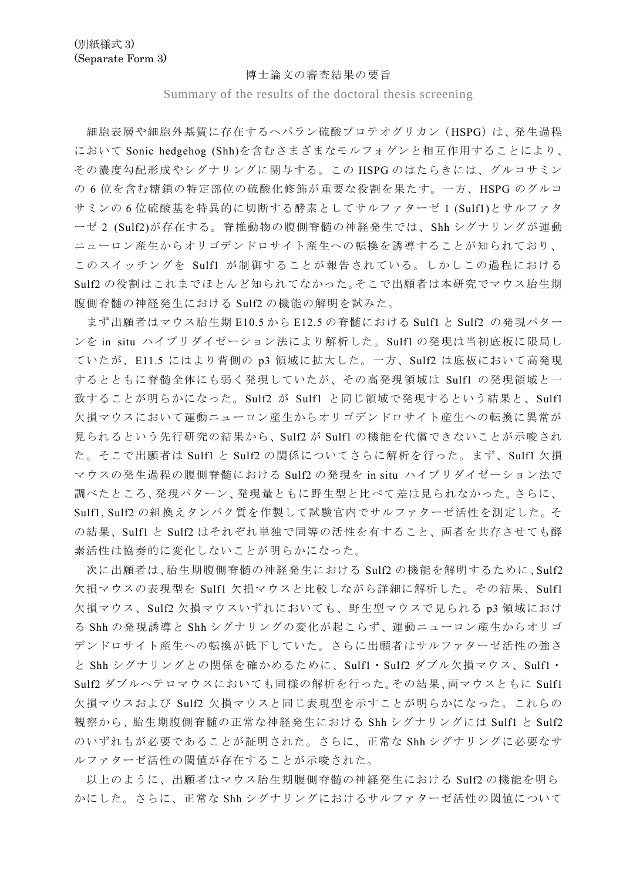## 博士論文の審査結果の要旨

Summary of the results of the doctoral thesis screening

細胞表層や細胞外基質に存在するヘパラン硫酸プロテオグリカン(HSPG)は、発生過程 において Sonic hedgehog (Shh)を含むさまざまなモルフォゲンと相互作用することにより、 その濃度勾配形成やシグナリングに関与する。この HSPG のはたらきには、グルコサミン の 6 位を含む糖鎖の特定部位の硫酸化修飾が重要な役割を果たす。一方、HSPG のグルコ サミンの 6 位硫酸基を特異的に切断する酵素としてサルファターゼ 1 (Sulf1)とサルファタ ーゼ 2 (Sulf2)が存在する。脊椎動物の腹側脊髄の神経発生では、Shh シグナリングが運動 ニューロン産生からオリゴデンドロサイト産生への転換を誘導することが知られており、 このスイッチングを Sulf1 が制御することが報告されている。しかしこの過程における Sulf2 の役割はこれまでほとんど知られてなかった。そこで出願者は本研究でマウス胎生期 腹側脊髄の神経発生における Sulf2 の機能の解明を試みた。

まず出願者はマウス胎生期 E10.5 から E12.5 の脊髄における Sulf1 と Sulf2 の発現パター ンを in situ ハイブリダイゼーション法により解析した。Sulf1 の発現は当初底板に限局し ていたが、E11.5 にはより背側の p3 領域に拡大した。一方、Sulf2 は底板において高発現 するとともに脊髄全体にも弱く発現していたが、その高発現領域は Sulf1 の発現領域と一 致することが明らかになった。Sulf2 が Sulf1 と同じ領域で発現するという結果と、Sulf1 欠損マウスにおいて運動ニューロン産生からオリゴデンドロサイト産生への転換に異常が 見られるという先行研究の結果から、Sulf2 が Sulf1 の機能を代償できないことが示唆され た。そこで出願者は Sulf1 と Sulf2 の関係についてさらに解析を行った。まず、Sulf1 欠損 マウスの発生過程の腹側脊髄における Sulf2 の発現を in situ ハイブリダイゼーション法で 調べたところ、発現パターン、発現量ともに野生型と比べて差は見られなかった。さらに、 Sulf1, Sulf2 の組換えタンパク質を作製して試験官内でサルファターゼ活性を測定した。そ の結果、Sulf1 と Sulf2 はそれぞれ単独で同等の活性を有すること、両者を共存させても酵 素活性は協奏的に変化しないことが明らかになった。

次に出願者は、胎生期腹側脊髄の神経発生における Sulf2 の機能を解明するために、Sulf2 欠損マウスの表現型を Sulf1 欠損マウスと比較しながら詳細に解析した。その結果、Sulf1 欠損マウス、Sulf2 欠損マウスいずれにおいても、野生型マウスで見られる p3 領域におけ る Shh の発現誘導と Shh シグナリングの変化が起こらず、運動ニューロン産生からオリゴ デンドロサイト産生への転換が低下していた。さらに出願者はサルファターゼ活性の強さ と Shh シグナリングとの関係を確かめるために、Sulf1・Sulf2 ダブル欠損マウス、Sulf1・ Sulf2 ダブルヘテロマウスにおいても同様の解析を行った。その結果、両マウスともに Sulf1 欠損マウスおよび Sulf2 欠損マウスと同じ表現型を示すことが明らかになった。これらの 観察から、胎生期腹側脊髄の正常な神経発生における Shh シグナリングには Sulf1 と Sulf2 のいずれもが必要であることが証明された。さらに、正常な Shh シグナリングに必要なサ ルファターゼ活性の閾値が存在することが示唆された。

以上のように、出願者はマウス胎生期腹側脊髄の神経発生における Sulf2 の機能を明ら かにした。さらに、正常な Shh シグナリングにおけるサルファターゼ活性の閾値について